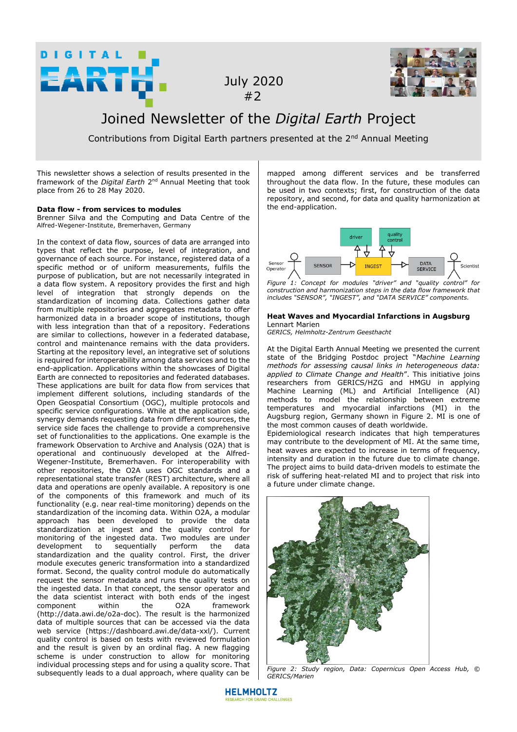

 July 2020 #2



## Joined Newsletter of the *Digital Earth* Project

Contributions from Digital Earth partners presented at the 2<sup>nd</sup> Annual Meeting

This newsletter shows a selection of results presented in the framework of the *Digital Earth* 2nd Annual Meeting that took place from 26 to 28 May 2020.

## **Data flow - from services to modules**

Brenner Silva and the Computing and Data Centre of the Alfred-Wegener-Institute, Bremerhaven, Germany

In the context of data flow, sources of data are arranged into types that reflect the purpose, level of integration, and governance of each source. For instance, registered data of a specific method or of uniform measurements, fulfils the purpose of publication, but are not necessarily integrated in a data flow system. A repository provides the first and high level of integration that strongly depends on the standardization of incoming data. Collections gather data from multiple repositories and aggregates metadata to offer harmonized data in a broader scope of institutions, though with less integration than that of a repository. Federations are similar to collections, however in a federated database, control and maintenance remains with the data providers. Starting at the repository level, an integrative set of solutions is required for interoperability among data services and to the end-application. Applications within the showcases of Digital Earth are connected to repositories and federated databases. These applications are built for data flow from services that implement different solutions, including standards of the Open Geospatial Consortium (OGC), multiple protocols and specific service configurations. While at the application side, synergy demands requesting data from different sources, the service side faces the challenge to provide a comprehensive set of functionalities to the applications. One example is the framework Observation to Archive and Analysis (O2A) that is operational and continuously developed at the Alfred-Wegener-Institute, Bremerhaven. For interoperability with other repositories, the O2A uses OGC standards and a representational state transfer (REST) architecture, where all data and operations are openly available. A repository is one of the components of this framework and much of its functionality (e.g. near real-time monitoring) depends on the standardization of the incoming data. Within O2A, a modular approach has been developed to provide the data standardization at ingest and the quality control for monitoring of the ingested data. Two modules are under<br>development to sequentially perform the data development to sequentially perform the data standardization and the quality control. First, the driver module executes generic transformation into a standardized format. Second, the quality control module do automatically request the sensor metadata and runs the quality tests on the ingested data. In that concept, the sensor operator and the data scientist interact with both ends of the ingest<br>component within the O2A framework component (http://data.awi.de/o2a-doc). The result is the harmonized data of multiple sources that can be accessed via the data web service (https://dashboard.awi.de/data-xxl/). Current quality control is based on tests with reviewed formulation and the result is given by an ordinal flag. A new flagging scheme is under construction to allow for monitoring individual processing steps and for using a quality score. That subsequently leads to a dual approach, where quality can be mapped among different services and be transferred throughout the data flow. In the future, these modules can be used in two contexts; first, for construction of the data repository, and second, for data and quality harmonization at the end-application.



*Figure 1: Concept for modules "driver" and "quality control" for construction and harmonization steps in the data flow framework that includes "SENSOR", "INGEST", and "DATA SERVICE" components.*

## **Heat Waves and Myocardial Infarctions in Augsburg**  Lennart Marien

*GERICS, Helmholtz-Zentrum Geesthacht*

At the Digital Earth Annual Meeting we presented the current state of the Bridging Postdoc project "*Machine Learning methods for assessing causal links in heterogeneous data: applied to Climate Change and Health*". This initiative joins researchers from GERICS/HZG and HMGU in applying Machine Learning (ML) and Artificial Intelligence (AI) methods to model the relationship between extreme temperatures and myocardial infarctions (MI) in the Augsburg region, Germany shown in Figure 2. MI is one of the most common causes of death worldwide.

Epidemiological research indicates that high temperatures may contribute to the development of MI. At the same time, heat waves are expected to increase in terms of frequency, intensity and duration in the future due to climate change. The project aims to build data-driven models to estimate the risk of suffering heat-related MI and to project that risk into a future under climate change.



*Figure 2: Study region, Data: Copernicus Open Access Hub, © GERICS/Marien*